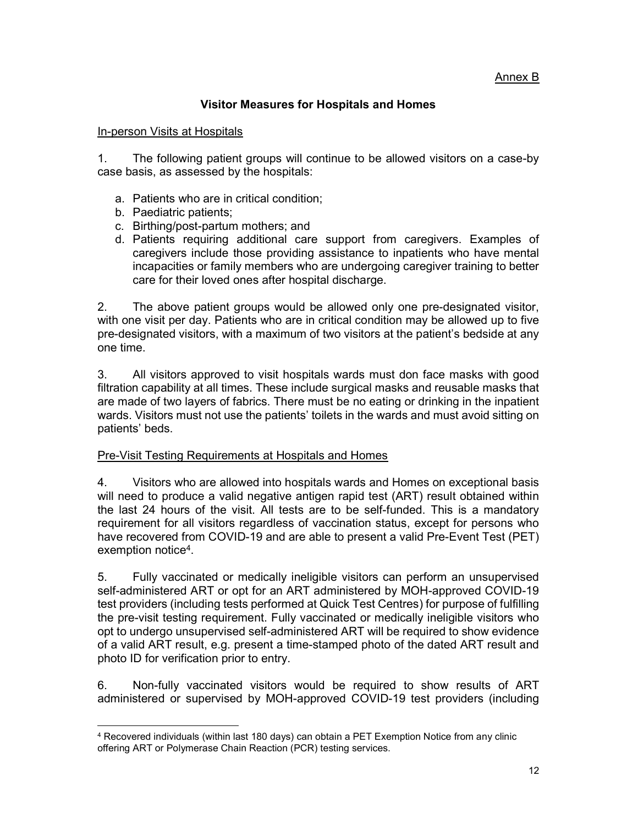## Annex B

## Visitor Measures for Hospitals and Homes

## **In-person Visits at Hospitals**

1. The following patient groups will continue to be allowed visitors on a case-by case basis, as assessed by the hospitals:

- a. Patients who are in critical condition;
- b. Paediatric patients;

1

- c. Birthing/post-partum mothers; and
- d. Patients requiring additional care support from caregivers. Examples of caregivers include those providing assistance to inpatients who have mental incapacities or family members who are undergoing caregiver training to better care for their loved ones after hospital discharge.

2. The above patient groups would be allowed only one pre-designated visitor, with one visit per day. Patients who are in critical condition may be allowed up to five pre-designated visitors, with a maximum of two visitors at the patient's bedside at any one time.

3. All visitors approved to visit hospitals wards must don face masks with good filtration capability at all times. These include surgical masks and reusable masks that are made of two layers of fabrics. There must be no eating or drinking in the inpatient wards. Visitors must not use the patients' toilets in the wards and must avoid sitting on patients' beds.

## Pre-Visit Testing Requirements at Hospitals and Homes

4. Visitors who are allowed into hospitals wards and Homes on exceptional basis will need to produce a valid negative antigen rapid test (ART) result obtained within the last 24 hours of the visit. All tests are to be self-funded. This is a mandatory requirement for all visitors regardless of vaccination status, except for persons who have recovered from COVID-19 and are able to present a valid Pre-Event Test (PET) exemption notice<sup>4</sup>.

5. Fully vaccinated or medically ineligible visitors can perform an unsupervised self-administered ART or opt for an ART administered by MOH-approved COVID-19 test providers (including tests performed at Quick Test Centres) for purpose of fulfilling the pre-visit testing requirement. Fully vaccinated or medically ineligible visitors who opt to undergo unsupervised self-administered ART will be required to show evidence of a valid ART result, e.g. present a time-stamped photo of the dated ART result and photo ID for verification prior to entry.

6. Non-fully vaccinated visitors would be required to show results of ART administered or supervised by MOH-approved COVID-19 test providers (including

<sup>4</sup> Recovered individuals (within last 180 days) can obtain a PET Exemption Notice from any clinic offering ART or Polymerase Chain Reaction (PCR) testing services.